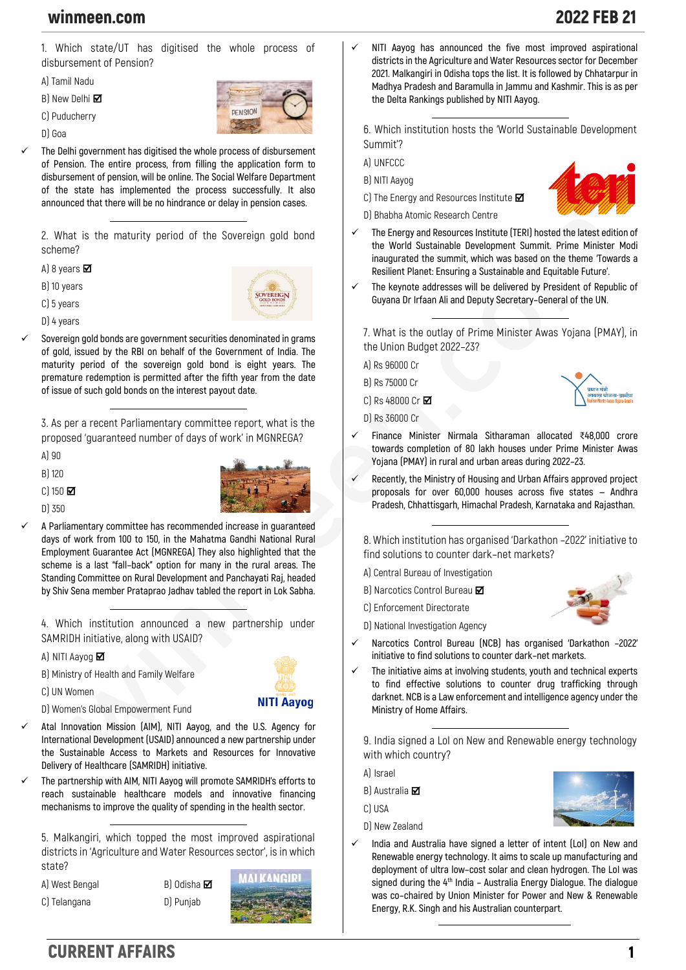## winmeen.com 2022 FEB 21

**1. Which state/UT has digitised the whole process of disbursement of Pension?**

**A) Tamil Nadu**

**B) New Delhi** 

**C) Puducherry**

**D) Goa**



✓ **The Delhi government has digitised the whole process of disbursement of Pension. The entire process, from filling the application form to disbursement of pension, will be online. The Social Welfare Department of the state has implemented the process successfully. It also announced that there will be no hindrance or delay in pension cases.**

**2. What is the maturity period of the Sovereign gold bond scheme?**

**A) 8 years** 

**B) 10 years**

**C) 5 years**

**D) 4 years**



✓ **Sovereign gold bonds are government securities denominated in grams of gold, issued by the RBI on behalf of the Government of India. The maturity period of the sovereign gold bond is eight years. The premature redemption is permitted after the fifth year from the date of issue of such gold bonds on the interest payout date.**

**3. As per a recent Parliamentary committee report, what is the proposed 'guaranteed number of days of work' in MGNREGA?**

**A) 90**

**B) 120**

**C) 150** 

**D) 350**



**NITI Aavog** 

✓ **A Parliamentary committee has recommended increase in guaranteed days of work from 100 to 150, in the Mahatma Gandhi National Rural Employment Guarantee Act (MGNREGA) They also highlighted that the scheme is a last "fall–back" option for many in the rural areas. The Standing Committee on Rural Development and Panchayati Raj, headed by Shiv Sena member Prataprao Jadhav tabled the report in Lok Sabha.**

**4. Which institution announced a new partnership under SAMRIDH initiative, along with USAID?**

**A) NITI Aayog** 

**B) Ministry of Health and Family Welfare**

**C) UN Women**

**D) Women's Global Empowerment Fund**

- ✓ **Atal Innovation Mission (AIM), NITI Aayog, and the U.S. Agency for International Development (USAID) announced a new partnership under the Sustainable Access to Markets and Resources for Innovative Delivery of Healthcare (SAMRIDH) initiative.**
- ✓ **The partnership with AIM, NITI Aayog will promote SAMRIDH's efforts to reach sustainable healthcare models and innovative financing mechanisms to improve the quality of spending in the health sector.**

**5. Malkangiri, which topped the most improved aspirational districts in 'Agriculture and Water Resources sector', is in which state?**

**A) West Bengal B) Odisha**

**C) Telangana D) Punjab**



✓ **NITI Aayog has announced the five most improved aspirational districts in the Agriculture and Water Resources sector for December 2021. Malkangiri in Odisha tops the list. It is followed by Chhatarpur in Madhya Pradesh and Baramulla in Jammu and Kashmir. This is as per the Delta Rankings published by NITI Aayog.**

**6. Which institution hosts the 'World Sustainable Development Summit'?**

**A) UNFCCC**

**B) NITI Aayog**

**C) The Energy and Resources Institute** 

**D) Bhabha Atomic Research Centre**



- The Energy and Resources Institute (TERI) hosted the latest edition of **the World Sustainable Development Summit. Prime Minister Modi inaugurated the summit, which was based on the theme 'Towards a Resilient Planet: Ensuring a Sustainable and Equitable Future'.**
- ✓ **The keynote addresses will be delivered by President of Republic of Guyana Dr Irfaan Ali and Deputy Secretary–General of the UN.**

**7. What is the outlay of Prime Minister Awas Yojana (PMAY), in the Union Budget 2022–23?**

**A) Rs 96000 Cr**

**B) Rs 75000 Cr**

**C) Rs 48000 Cr**

**D) Rs 36000 Cr**



- ✓ **Finance Minister Nirmala Sitharaman allocated** ₹**48,000 crore towards completion of 80 lakh houses under Prime Minister Awas Yojana (PMAY) in rural and urban areas during 2022–23.**
- ✓ **Recently, the Ministry of Housing and Urban Affairs approved project proposals for over 60,000 houses across five states — Andhra Pradesh, Chhattisgarh, Himachal Pradesh, Karnataka and Rajasthan.**

**8. Which institution has organised 'Darkathon –2022' initiative to find solutions to counter dark–net markets?**

**A) Central Bureau of Investigation**

- **B) Narcotics Control Bureau**
- **C) Enforcement Directorate**



- 
- ✓ **Narcotics Control Bureau (NCB) has organised 'Darkathon –2022' initiative to find solutions to counter dark–net markets.**
- The initiative aims at involving students, youth and technical experts **to find effective solutions to counter drug trafficking through darknet. NCB is a Law enforcement and intelligence agency under the Ministry of Home Affairs.**

**9. India signed a LoI on New and Renewable energy technology with which country?**

**A) Israel**

**B) Australia** 

- **C) USA**
- **D) New Zealand**
- ✓ **India and Australia have signed a letter of intent (LoI) on New and Renewable energy technology. It aims to scale up manufacturing and deployment of ultra low–cost solar and clean hydrogen. The LoI was signed during the 4th India – Australia Energy Dialogue. The dialogue was co–chaired by Union Minister for Power and New & Renewable Energy, R.K. Singh and his Australian counterpart.**